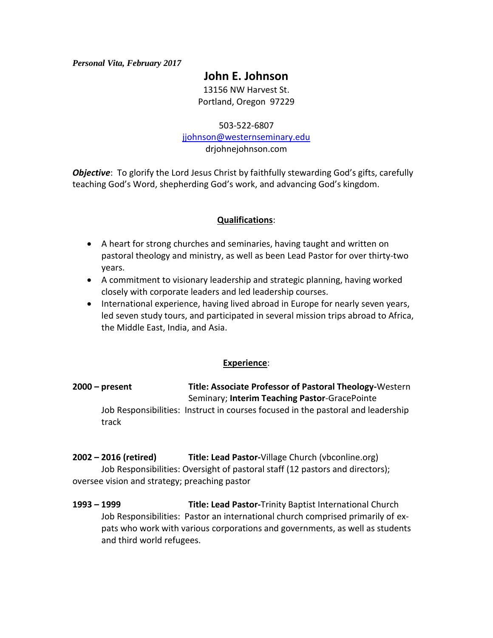#### *Personal Vita, February 2017*

# **John E. Johnson**

13156 NW Harvest St. Portland, Oregon 97229

503-522-6807

[jjohnson@westernseminary.edu](mailto:jjohnson@westernseminary.edu)

drjohnejohnson.com

**Objective**: To glorify the Lord Jesus Christ by faithfully stewarding God's gifts, carefully teaching God's Word, shepherding God's work, and advancing God's kingdom.

## **Qualifications**:

- A heart for strong churches and seminaries, having taught and written on pastoral theology and ministry, as well as been Lead Pastor for over thirty-two years.
- A commitment to visionary leadership and strategic planning, having worked closely with corporate leaders and led leadership courses.
- International experience, having lived abroad in Europe for nearly seven years, led seven study tours, and participated in several mission trips abroad to Africa, the Middle East, India, and Asia.

#### **Experience**:

**2000 – present Title: Associate Professor of Pastoral Theology-**Western Seminary; **Interim Teaching Pastor**-GracePointe Job Responsibilities: Instruct in courses focused in the pastoral and leadership track

**2002 – 2016 (retired) Title: Lead Pastor-**Village Church (vbconline.org) Job Responsibilities: Oversight of pastoral staff (12 pastors and directors); oversee vision and strategy; preaching pastor

**1993 – 1999 Title: Lead Pastor-**Trinity Baptist International Church Job Responsibilities: Pastor an international church comprised primarily of expats who work with various corporations and governments, as well as students and third world refugees.